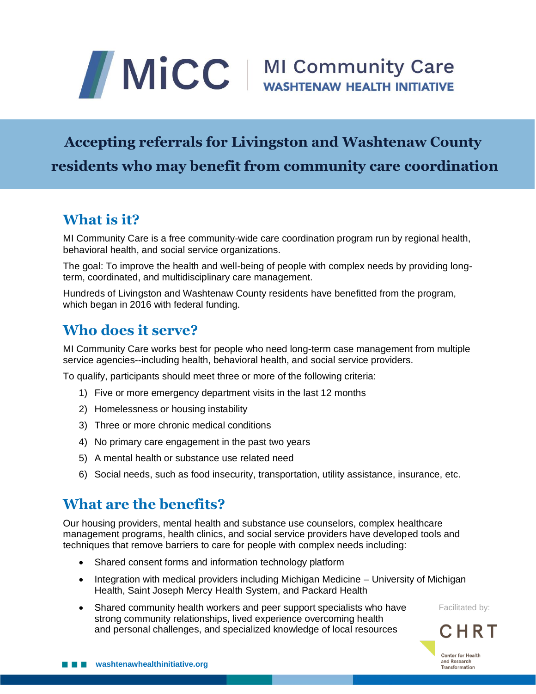# MICC | MI Community Care

### **Accepting referrals for Livingston and Washtenaw County residents who may benefit from community care coordination**

#### **What is it?**

MI Community Care is a free community-wide care coordination program run by regional health, behavioral health, and social service organizations.

The goal: To improve the health and well-being of people with complex needs by providing longterm, coordinated, and multidisciplinary care management.

Hundreds of Livingston and Washtenaw County residents have benefitted from the program, which began in 2016 with federal funding.

#### **Who does it serve?**

MI Community Care works best for people who need long-term case management from multiple service agencies--including health, behavioral health, and social service providers.

To qualify, participants should meet three or more of the following criteria:

- 1) Five or more emergency department visits in the last 12 months
- 2) Homelessness or housing instability
- 3) Three or more chronic medical conditions
- 4) No primary care engagement in the past two years
- 5) A mental health or substance use related need
- 6) Social needs, such as food insecurity, transportation, utility assistance, insurance, etc.

#### **What are the benefits?**

Our housing providers, mental health and substance use counselors, complex healthcare management programs, health clinics, and social service providers have developed tools and techniques that remove barriers to care for people with complex needs including:

- Shared consent forms and information technology platform
- Integration with medical providers including Michigan Medicine University of Michigan Health, Saint Joseph Mercy Health System, and Packard Health
- Shared community health workers and peer support specialists who have strong community relationships, lived experience overcoming health and personal challenges, and specialized knowledge of local resources

Facilitated by:

CHRT